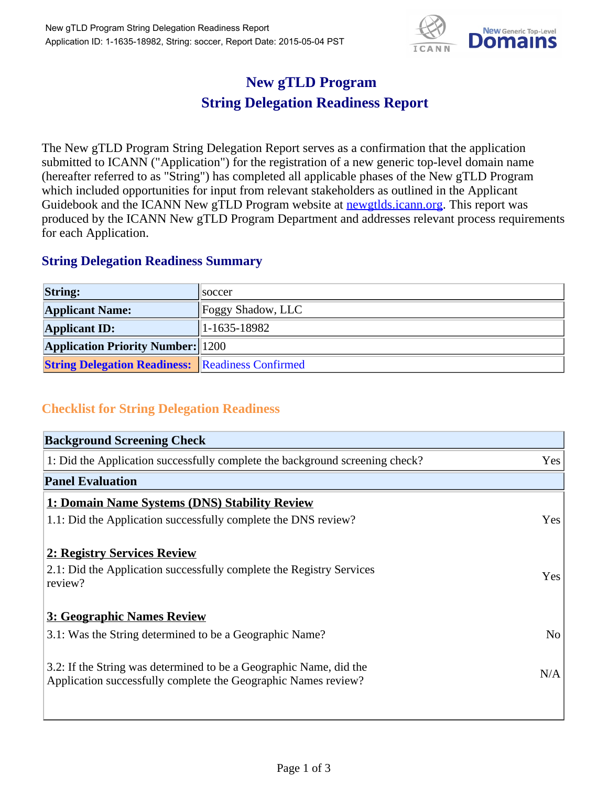

## **New gTLD Program String Delegation Readiness Report**

The New gTLD Program String Delegation Report serves as a confirmation that the application submitted to ICANN ("Application") for the registration of a new generic top-level domain name (hereafter referred to as "String") has completed all applicable phases of the New gTLD Program which included opportunities for input from relevant stakeholders as outlined in the Applicant Guidebook and the ICANN New gTLD Program website at **newgtlds.icann.org**. This report was produced by the ICANN New gTLD Program Department and addresses relevant process requirements for each Application.

## **String Delegation Readiness Summary**

| <b>String:</b>                                          | <b>Soccer</b>     |
|---------------------------------------------------------|-------------------|
| <b>Applicant Name:</b>                                  | Foggy Shadow, LLC |
| <b>Applicant ID:</b>                                    | $ 1-1635-18982 $  |
| <b>Application Priority Number: 1200</b>                |                   |
| <b>String Delegation Readiness: Readiness Confirmed</b> |                   |

## **Checklist for String Delegation Readiness**

| <b>Background Screening Check</b>                                               |                |
|---------------------------------------------------------------------------------|----------------|
| 1: Did the Application successfully complete the background screening check?    | Yes            |
| <b>Panel Evaluation</b>                                                         |                |
| 1: Domain Name Systems (DNS) Stability Review                                   |                |
| 1.1: Did the Application successfully complete the DNS review?                  | Yes            |
| 2: Registry Services Review                                                     |                |
|                                                                                 |                |
| 2.1: Did the Application successfully complete the Registry Services<br>review? | <b>Yes</b>     |
|                                                                                 |                |
| 3: Geographic Names Review                                                      |                |
| 3.1: Was the String determined to be a Geographic Name?                         | N <sub>0</sub> |
| 3.2: If the String was determined to be a Geographic Name, did the              |                |
| Application successfully complete the Geographic Names review?                  | N/A            |
|                                                                                 |                |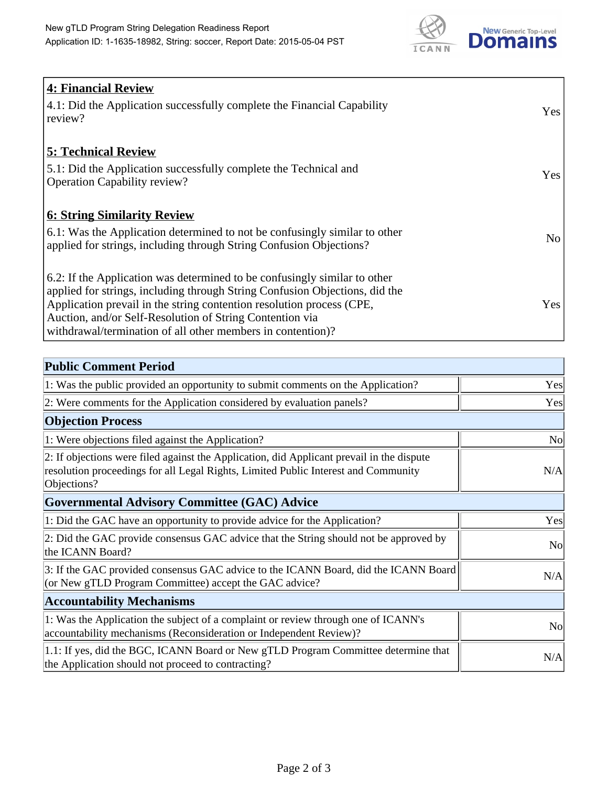

| <b>4: Financial Review</b><br>$\vert$ 4.1: Did the Application successfully complete the Financial Capability<br>review?                                                                                                                                                                                                                                     | Yes            |
|--------------------------------------------------------------------------------------------------------------------------------------------------------------------------------------------------------------------------------------------------------------------------------------------------------------------------------------------------------------|----------------|
| <b>5: Technical Review</b><br>5.1: Did the Application successfully complete the Technical and<br><b>Operation Capability review?</b>                                                                                                                                                                                                                        | Yes            |
| <b>6: String Similarity Review</b><br>$\vert$ 6.1: Was the Application determined to not be confusingly similar to other<br>applied for strings, including through String Confusion Objections?                                                                                                                                                              | N <sub>o</sub> |
| 6.2: If the Application was determined to be confusingly similar to other<br>applied for strings, including through String Confusion Objections, did the<br>Application prevail in the string contention resolution process (CPE,<br>Auction, and/or Self-Resolution of String Contention via<br>withdrawal/termination of all other members in contention)? | Yes            |

| <b>Public Comment Period</b>                                                                                                                                                                   |                |
|------------------------------------------------------------------------------------------------------------------------------------------------------------------------------------------------|----------------|
| 1: Was the public provided an opportunity to submit comments on the Application?                                                                                                               | Yes            |
| 2: Were comments for the Application considered by evaluation panels?                                                                                                                          | Yes            |
| <b>Objection Process</b>                                                                                                                                                                       |                |
| 1: Were objections filed against the Application?                                                                                                                                              | N <sub>o</sub> |
| 2: If objections were filed against the Application, did Applicant prevail in the dispute<br>resolution proceedings for all Legal Rights, Limited Public Interest and Community<br>Objections? | N/A            |
| Governmental Advisory Committee (GAC) Advice                                                                                                                                                   |                |
| 1: Did the GAC have an opportunity to provide advice for the Application?                                                                                                                      | Yes            |
| 2: Did the GAC provide consensus GAC advice that the String should not be approved by<br>the ICANN Board?                                                                                      | N <sub>o</sub> |
| 3: If the GAC provided consensus GAC advice to the ICANN Board, did the ICANN Board<br>(or New gTLD Program Committee) accept the GAC advice?                                                  | N/A            |
| <b>Accountability Mechanisms</b>                                                                                                                                                               |                |
| 1: Was the Application the subject of a complaint or review through one of ICANN's<br>accountability mechanisms (Reconsideration or Independent Review)?                                       | N <sub>0</sub> |
| 1.1: If yes, did the BGC, ICANN Board or New gTLD Program Committee determine that<br>the Application should not proceed to contracting?                                                       | N/A            |